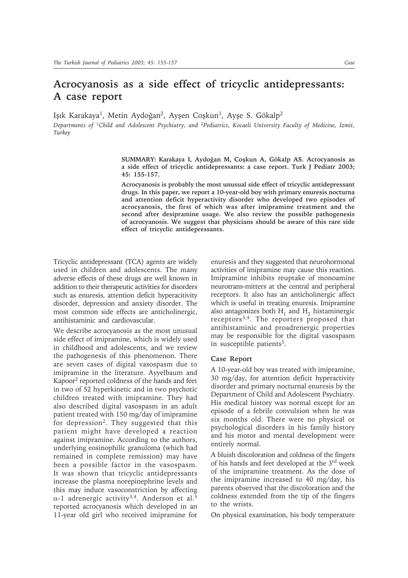# **Acrocyanosis as a side effect of tricyclic antidepressants: A case report**

Işık Karakaya<sup>1</sup>, Metin Aydoğan<sup>2</sup>, Ayşen Coşkun<sup>1</sup>, Ayşe S. Gökalp<sup>2</sup>

*Departments of <sup>1</sup>Child and Adolescent Psychiatry, and <sup>2</sup>Pediatrics, Kocaeli University Faculty of Medicine, İzmit, Turkey*

> SUMMARY: Karakaya I, Aydoğan M, Coşkun A, Gökalp AS. Acrocyanosis as **a side effect of tricyclic antidepressants: a case report. Turk J Pediatr 2003; 45: 155-157.**

> **Acrocyanosis is probably the most unusual side effect of tricyclic antidepressant drugs. In this paper, we report a 10-year-old boy with primary enuresis nocturna and attention deficit hyperactivity disorder who developed two episodes of acrocyanosis, the first of which was after imipramine treatment and the second after desipramine usage. We also review the possible pathogenesis of acrocyanosis. We suggest that physicians should be aware of this rare side effect of tricyclic antidepressants.**

Tricyclic antidepressant (TCA) agents are widely used in children and adolescents. The many adverse effects of these drugs are well known in addition to their therapeutic activities for disorders such as enuresis, attention deficit hyperacitivity disorder, depression and anxiety disorder. The most common side effects are anticholinergic, antihistaminic and cardiovascular.

We describe acrocyanosis as the most unusual side effect of imipramine, which is widely used in childhood and adolescents, and we review the pathogenesis of this phenomenon. There are seven cases of digital vasospasm due to imipramine in the literature. Ayyelbaum and Kapoor2 reported coldness of the hands and feet in two of 52 hyperkinetic and in two psychotic children treated with imipramine. They had also described digital vasospasm in an adult patient treated with 150 mg/day of imipramine for depression<sup>2</sup>. They suggested that this patient might have developed a reaction against imipramine. According to the authors, underlying eosinophilic granuloma (which had remained in complete remission) may have been a possible factor in the vasospasm. It was shown that tricyclic antidepressants increase the plasma norepinephrine levels and this may induce vasoconstriction by affecting α-1 adrenergic activity<sup>3,4</sup>. Anderson et al.<sup>5</sup> reported acrocyanosis which developed in an 11-year old girl who received imipramine for

enuresis and they suggested that neurohormonal activities of imipramine may cause this reaction. Imipramine inhibits reuptake of monoamine neurotrans-mitters at the central and peripheral receptors. It also has an anticholinergic affect which is useful in treating enuresis. Imipramine also antagonizes both  $H_1$  and  $H_2$  histaminergic receptors<sup>3,4</sup>. The reporters proposed that antihistaminic and proadrenergic properties may be responsible for the digital vasospasm in susceptible patients<sup>5</sup>.

## **Case Report**

A 10-year-old boy was treated with imipramine, 30 mg/day, for attention deficit hyperactivity disorder and primary nocturnal enuresis by the Department of Child and Adolescent Psychiatry. His medical history was normal except for an episode of a febrile convulsion when he was six months old. There were no physical or psychological disorders in his family history and his motor and mental development were entirely normal.

A bluish discoloration and coldness of the fingers of his hands and feet developed at the 3rd week of the imipramine treatment. As the dose of the imipramine increased to 40 mg/day, his parents observed that the discoloration and the coldness extended from the tip of the fingers to the wrists.

On physical examination, his body temperature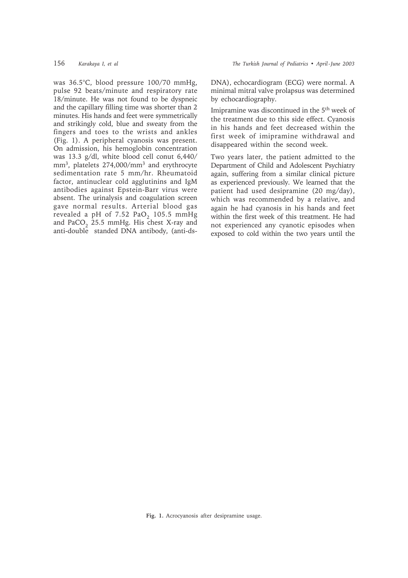was 36.5°C, blood pressure 100/70 mmHg, pulse 92 beats/minute and respiratory rate 18/minute. He was not found to be dyspneic and the capillary filling time was shorter than 2 minutes. His hands and feet were symmetrically and strikingly cold, blue and sweaty from the fingers and toes to the wrists and ankles (Fig. 1). A peripheral cyanosis was present. On admission, his hemoglobin concentration was 13.3 g/dl, white blood cell conut 6,440/ mm<sup>3</sup>, platelets 274,000/mm<sup>3</sup> and erythrocyte sedimentation rate 5 mm/hr. Rheumatoid factor, antinuclear cold agglutinins and IgM antibodies against Epstein-Barr virus were absent. The urinalysis and coagulation screen gave normal results. Arterial blood gas revealed a pH of  $7.52$  PaO<sub>2</sub> 105.5 mmHg and PaCO<sub>2</sub> 25.5 mmHg. His chest X-ray and anti-double standed DNA antibody, (anti-dsDNA), echocardiogram (ECG) were normal. A minimal mitral valve prolapsus was determined by echocardiography.

Imipramine was discontinued in the 5th week of the treatment due to this side effect. Cyanosis in his hands and feet decreased within the first week of imipramine withdrawal and disappeared within the second week.

Two years later, the patient admitted to the Department of Child and Adolescent Psychiatry again, suffering from a similar clinical picture as experienced previously. We learned that the patient had used desipramine (20 mg/day), which was recommended by a relative, and again he had cyanosis in his hands and feet within the first week of this treatment. He had not experienced any cyanotic episodes when exposed to cold within the two years until the